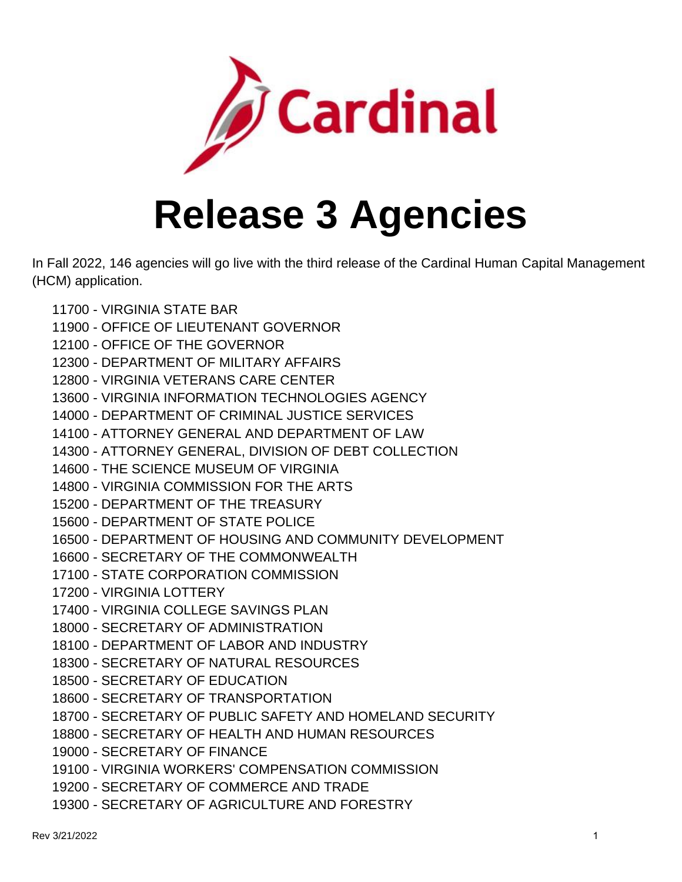

## **Release 3 Agencies**

In Fall 2022, 146 agencies will go live with the third release of the Cardinal Human Capital Management (HCM) application.

- 11700 VIRGINIA STATE BAR
- 11900 OFFICE OF LIEUTENANT GOVERNOR
- 12100 OFFICE OF THE GOVERNOR
- 12300 DEPARTMENT OF MILITARY AFFAIRS
- 12800 VIRGINIA VETERANS CARE CENTER
- 13600 VIRGINIA INFORMATION TECHNOLOGIES AGENCY
- 14000 DEPARTMENT OF CRIMINAL JUSTICE SERVICES
- 14100 ATTORNEY GENERAL AND DEPARTMENT OF LAW
- 14300 ATTORNEY GENERAL, DIVISION OF DEBT COLLECTION
- 14600 THE SCIENCE MUSEUM OF VIRGINIA
- 14800 VIRGINIA COMMISSION FOR THE ARTS
- 15200 DEPARTMENT OF THE TREASURY
- 15600 DEPARTMENT OF STATE POLICE
- 16500 DEPARTMENT OF HOUSING AND COMMUNITY DEVELOPMENT
- 16600 SECRETARY OF THE COMMONWEALTH
- 17100 STATE CORPORATION COMMISSION
- 17200 VIRGINIA LOTTERY
- 17400 VIRGINIA COLLEGE SAVINGS PLAN
- 18000 SECRETARY OF ADMINISTRATION
- 18100 DEPARTMENT OF LABOR AND INDUSTRY
- 18300 SECRETARY OF NATURAL RESOURCES
- 18500 SECRETARY OF EDUCATION
- 18600 SECRETARY OF TRANSPORTATION
- 18700 SECRETARY OF PUBLIC SAFETY AND HOMELAND SECURITY
- 18800 SECRETARY OF HEALTH AND HUMAN RESOURCES
- 19000 SECRETARY OF FINANCE
- 19100 VIRGINIA WORKERS' COMPENSATION COMMISSION
- 19200 SECRETARY OF COMMERCE AND TRADE
- 19300 SECRETARY OF AGRICULTURE AND FORESTRY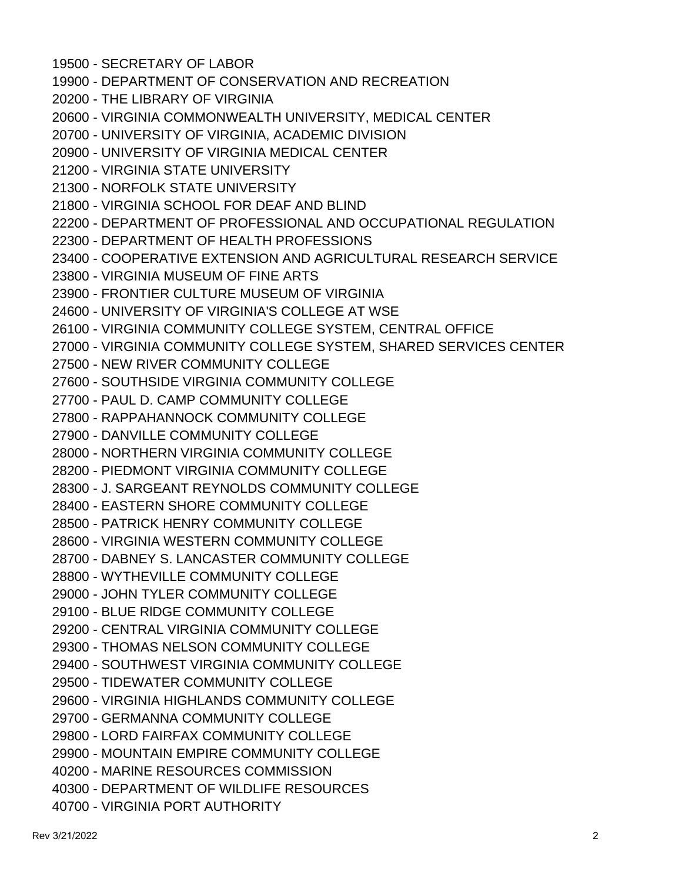19500 - SECRETARY OF LABOR 19900 - DEPARTMENT OF CONSERVATION AND RECREATION 20200 - THE LIBRARY OF VIRGINIA 20600 - VIRGINIA COMMONWEALTH UNIVERSITY, MEDICAL CENTER 20700 - UNIVERSITY OF VIRGINIA, ACADEMIC DIVISION 20900 - UNIVERSITY OF VIRGINIA MEDICAL CENTER 21200 - VIRGINIA STATE UNIVERSITY 21300 - NORFOLK STATE UNIVERSITY 21800 - VIRGINIA SCHOOL FOR DEAF AND BLIND 22200 - DEPARTMENT OF PROFESSIONAL AND OCCUPATIONAL REGULATION 22300 - DEPARTMENT OF HEALTH PROFESSIONS 23400 - COOPERATIVE EXTENSION AND AGRICULTURAL RESEARCH SERVICE 23800 - VIRGINIA MUSEUM OF FINE ARTS 23900 - FRONTIER CULTURE MUSEUM OF VIRGINIA 24600 - UNIVERSITY OF VIRGINIA'S COLLEGE AT WSE 26100 - VIRGINIA COMMUNITY COLLEGE SYSTEM, CENTRAL OFFICE 27000 - VIRGINIA COMMUNITY COLLEGE SYSTEM, SHARED SERVICES CENTER 27500 - NEW RIVER COMMUNITY COLLEGE 27600 - SOUTHSIDE VIRGINIA COMMUNITY COLLEGE 27700 - PAUL D. CAMP COMMUNITY COLLEGE 27800 - RAPPAHANNOCK COMMUNITY COLLEGE 27900 - DANVILLE COMMUNITY COLLEGE 28000 - NORTHERN VIRGINIA COMMUNITY COLLEGE 28200 - PIEDMONT VIRGINIA COMMUNITY COLLEGE 28300 - J. SARGEANT REYNOLDS COMMUNITY COLLEGE 28400 - EASTERN SHORE COMMUNITY COLLEGE 28500 - PATRICK HENRY COMMUNITY COLLEGE 28600 - VIRGINIA WESTERN COMMUNITY COLLEGE 28700 - DABNEY S. LANCASTER COMMUNITY COLLEGE 28800 - WYTHEVILLE COMMUNITY COLLEGE 29000 - JOHN TYLER COMMUNITY COLLEGE 29100 - BLUE RlDGE COMMUNITY COLLEGE 29200 - CENTRAL VIRGINIA COMMUNITY COLLEGE 29300 - THOMAS NELSON COMMUNITY COLLEGE 29400 - SOUTHWEST VIRGINIA COMMUNITY COLLEGE 29500 - TIDEWATER COMMUNITY COLLEGE 29600 - VIRGINIA HIGHLANDS COMMUNITY COLLEGE 29700 - GERMANNA COMMUNITY COLLEGE 29800 - LORD FAIRFAX COMMUNITY COLLEGE 29900 - MOUNTAIN EMPIRE COMMUNITY COLLEGE 40200 - MARlNE RESOURCES COMMISSION 40300 - DEPARTMENT OF WILDLIFE RESOURCES 40700 - VIRGINIA PORT AUTHORITY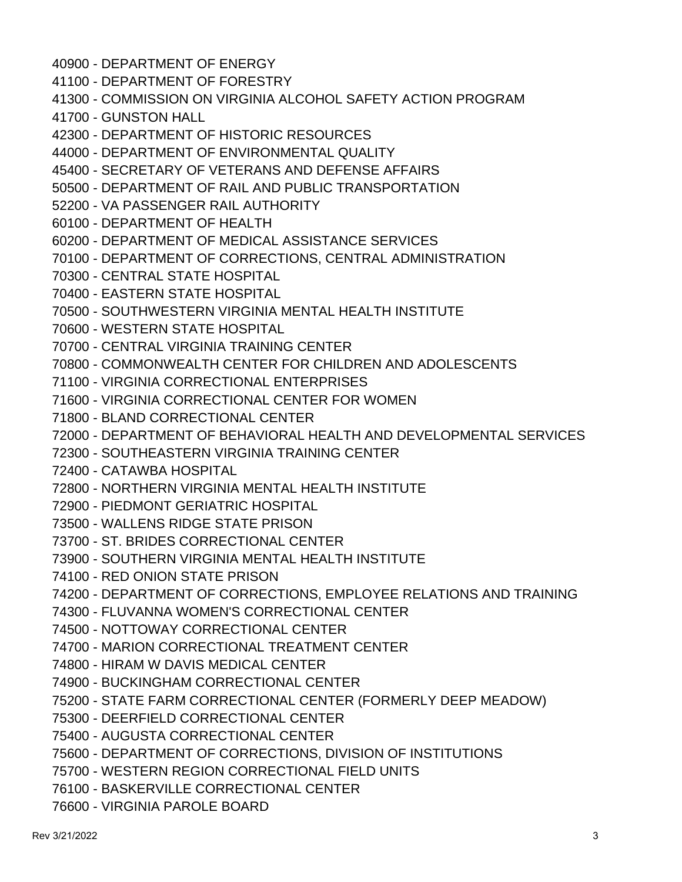- 40900 DEPARTMENT OF ENERGY
- 41100 DEPARTMENT OF FORESTRY
- 41300 COMMISSION ON VIRGINIA ALCOHOL SAFETY ACTION PROGRAM
- 41700 GUNSTON HALL
- 42300 DEPARTMENT OF HISTORIC RESOURCES
- 44000 DEPARTMENT OF ENVIRONMENTAL QUALITY
- 45400 SECRETARY OF VETERANS AND DEFENSE AFFAIRS
- 50500 DEPARTMENT OF RAIL AND PUBLIC TRANSPORTATION
- 52200 VA PASSENGER RAIL AUTHORITY
- 60100 DEPARTMENT OF HEALTH
- 60200 DEPARTMENT OF MEDICAL ASSISTANCE SERVICES
- 70100 DEPARTMENT OF CORRECTIONS, CENTRAL ADMINISTRATION
- 70300 CENTRAL STATE HOSPITAL
- 70400 EASTERN STATE HOSPITAL
- 70500 SOUTHWESTERN VIRGINIA MENTAL HEALTH INSTITUTE
- 70600 WESTERN STATE HOSPITAL
- 70700 CENTRAL VIRGINIA TRAINING CENTER
- 70800 COMMONWEALTH CENTER FOR CHILDREN AND ADOLESCENTS
- 71100 VIRGINIA CORRECTIONAL ENTERPRISES
- 71600 VIRGINIA CORRECTIONAL CENTER FOR WOMEN
- 71800 BLAND CORRECTIONAL CENTER
- 72000 DEPARTMENT OF BEHAVIORAL HEALTH AND DEVELOPMENTAL SERVICES
- 72300 SOUTHEASTERN VIRGINIA TRAINING CENTER
- 72400 CATAWBA HOSPITAL
- 72800 NORTHERN VIRGINIA MENTAL HEALTH INSTITUTE
- 72900 PIEDMONT GERIATRIC HOSPITAL
- 73500 WALLENS RIDGE STATE PRISON
- 73700 ST. BRIDES CORRECTIONAL CENTER
- 73900 SOUTHERN VIRGINIA MENTAL HEALTH INSTITUTE
- 74100 RED ONION STATE PRISON
- 74200 DEPARTMENT OF CORRECTIONS, EMPLOYEE RELATIONS AND TRAINING
- 74300 FLUVANNA WOMEN'S CORRECTIONAL CENTER
- 74500 NOTTOWAY CORRECTIONAL CENTER
- 74700 MARION CORRECTIONAL TREATMENT CENTER
- 74800 HIRAM W DAVIS MEDICAL CENTER
- 74900 BUCKINGHAM CORRECTIONAL CENTER
- 75200 STATE FARM CORRECTIONAL CENTER (FORMERLY DEEP MEADOW)
- 75300 DEERFIELD CORRECTIONAL CENTER
- 75400 AUGUSTA CORRECTIONAL CENTER
- 75600 DEPARTMENT OF CORRECTIONS, DIVISION OF INSTITUTIONS
- 75700 WESTERN REGION CORRECTIONAL FIELD UNITS
- 76100 BASKERVILLE CORRECTIONAL CENTER
- 76600 VIRGINIA PAROLE BOARD